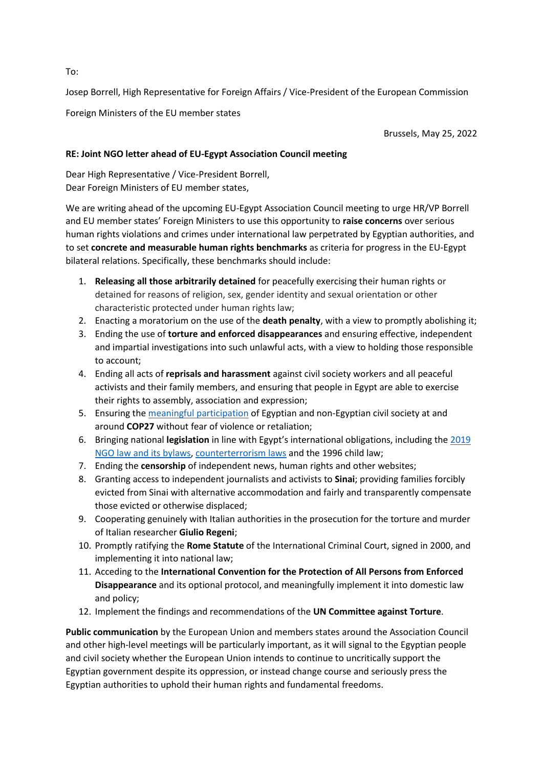Josep Borrell, High Representative for Foreign Affairs / Vice-President of the European Commission

Foreign Ministers of the EU member states

Brussels, May 25, 2022

## **RE: Joint NGO letter ahead of EU-Egypt Association Council meeting**

Dear High Representative / Vice-President Borrell, Dear Foreign Ministers of EU member states,

We are writing ahead of the upcoming EU-Egypt Association Council meeting to urge HR/VP Borrell and EU member states' Foreign Ministers to use this opportunity to **raise concerns** over serious human rights violations and crimes under international law perpetrated by Egyptian authorities, and to set **concrete and measurable human rights benchmarks** as criteria for progress in the EU-Egypt bilateral relations. Specifically, these benchmarks should include:

- 1. **Releasing all those arbitrarily detained** for peacefully exercising their human rights or detained for reasons of religion, sex, gender identity and sexual orientation or other characteristic protected under human rights law;
- 2. Enacting a moratorium on the use of the **death penalty**, with a view to promptly abolishing it;
- 3. Ending the use of **torture and enforced disappearances** and ensuring effective, independent and impartial investigations into such unlawful acts, with a view to holding those responsible to account;
- 4. Ending all acts of **reprisals and harassment** against civil society workers and all peaceful activists and their family members, and ensuring that people in Egypt are able to exercise their rights to assembly, association and expression;
- 5. Ensuring th[e meaningful participation](https://www.amnesty.org/en/documents/MDE12/5638/2022/en/) of Egyptian and non-Egyptian civil society at and around **COP27** without fear of violence or retaliation;
- 6. Bringing national **legislation** in line with Egypt's international obligations, including the [2019](https://www.hrw.org/news/2021/07/15/qa-legal-framework-and-environment-nongovernmental-groups-ngos-egypt)  [NGO law and its bylaws,](https://www.hrw.org/news/2021/07/15/qa-legal-framework-and-environment-nongovernmental-groups-ngos-egypt) [counterterrorism laws](https://www.ohchr.org/en/press-releases/2020/04/egypts-updated-terrorism-law-opens-door-more-rights-abuses-says-un-expert) and the 1996 child law;
- 7. Ending the **censorship** of independent news, human rights and other websites;
- 8. Granting access to independent journalists and activists to **Sinai**; providing families forcibly evicted from Sinai with alternative accommodation and fairly and transparently compensate those evicted or otherwise displaced;
- 9. Cooperating genuinely with Italian authorities in the prosecution for the torture and murder of Italian researcher **Giulio Regeni**;
- 10. Promptly ratifying the **Rome Statute** of the International Criminal Court, signed in 2000, and implementing it into national law;
- 11. Acceding to the **International Convention for the Protection of All Persons from Enforced Disappearance** and its optional protocol, and meaningfully implement it into domestic law and policy;
- 12. Implement the findings and recommendations of the **UN Committee against Torture**.

**Public communication** by the European Union and members states around the Association Council and other high-level meetings will be particularly important, as it will signal to the Egyptian people and civil society whether the European Union intends to continue to uncritically support the Egyptian government despite its oppression, or instead change course and seriously press the Egyptian authorities to uphold their human rights and fundamental freedoms.

To: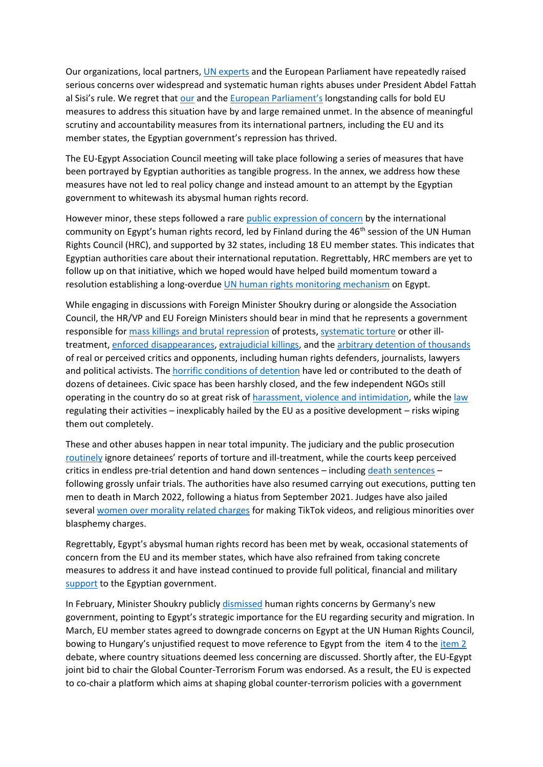Our organizations, local partners, [UN experts](https://www.ohchr.org/en/press-releases/2021/12/un-experts-urge-release-rights-defenders-egypt-condemn-misuse-counter) and the European Parliament have repeatedly raised serious concerns over widespread and systematic human rights abuses under President Abdel Fattah al Sisi's rule. We regret that [our](https://www.hrw.org/news/2021/01/21/open-letter-european-union-and-its-member-states-egypt) and the [European Parliament's](https://www.europarl.europa.eu/doceo/document/TA-9-2020-0384_EN.html) longstanding calls for bold EU measures to address this situation have by and large remained unmet. In the absence of meaningful scrutiny and accountability measures from its international partners, including the EU and its member states, the Egyptian government's repression has thrived.

The EU-Egypt Association Council meeting will take place following a series of measures that have been portrayed by Egyptian authorities as tangible progress. In the annex, we address how these measures have not led to real policy change and instead amount to an attempt by the Egyptian government to whitewash its abysmal human rights record.

However minor, these steps followed a rare [public expression of concern](https://ishr.ch/latest-updates/hrc46-states-break-silence-condemn-egypts-repression/) by the international community on Egypt's human rights record, led by Finland during the 46<sup>th</sup> session of the UN Human Rights Council (HRC), and supported by 32 states, including 18 EU member states. This indicates that Egyptian authorities care about their international reputation. Regrettably, HRC members are yet to follow up on that initiative, which we hoped would have helped build momentum toward a resolution establishing a long-overdu[e UN human rights monitoring mechanism](https://www.hrw.org/news/2021/02/09/human-rights-council-countries-should-take-bold-action-egypt) on Egypt.

While engaging in discussions with Foreign Minister Shoukry during or alongside the Association Council, the HR/VP and EU Foreign Ministers should bear in mind that he represents a government responsible fo[r mass killings and brutal repression](https://www.hrw.org/report/2014/08/12/all-according-plan/raba-massacre-and-mass-killings-protesters-egypt) of protests[, systematic torture](https://docstore.ohchr.org/SelfServices/FilesHandler.ashx?enc=dtYoAzPhJ4NMy4Lu1TOebJtOzHl9Ya%2Bxza%2BE%2BvtPfEMjvoay0x2iV30x2zj4TLGEMjRXVex9Q%2FNhnR3%2FZHIww27bw4ZF3htxFLucJ9b7NxE%3D) or other illtreatment, [enforced disappearances,](https://www.amnesty.org/en/wp-content/uploads/2021/05/MDE1243312016ENGLISH.pdf) [extrajudicial killings,](https://www.hrw.org/report/2021/09/07/security-forces-dealt-them/suspicious-killings-and-extrajudicial-executions) and the [arbitrary detention of thousands](https://www.amnesty.org/en/documents/mde12/1399/2019/en/) of real or perceived critics and opponents, including human rights defenders, journalists, lawyers and political activists. The [horrific conditions of detention](https://www.amnesty.org/en/documents/mde12/3538/2021/en/) have led or contributed to the death of dozens of detainees. Civic space has been harshly closed, and the few independent NGOs still operating in the country do so at great risk of [harassment, violence and intimidation,](https://www.amnesty.org/en/documents/mde12/4665/2021/en/) while th[e law](https://www.hrw.org/news/2021/07/15/qa-legal-framework-and-environment-nongovernmental-groups-ngos-egypt) regulating their activities – inexplicably hailed by the EU as a positive development – risks wiping them out completely.

These and other abuses happen in near total impunity. The judiciary and the public prosecution [routinely](https://www.amnesty.org/en/documents/mde12/1399/2019/en/) ignore detainees' reports of torture and ill-treatment, while the courts keep perceived critics in endless pre-trial detention and hand down sentences – includin[g death sentences](https://www.amnesty.org/en/latest/news/2020/12/egypt-chilling-rise-in-executions-reveals-depth-of-human-rights-crisis/) – following grossly unfair trials. The authorities have also resumed carrying out executions, putting ten men to death in March 2022, following a hiatus from September 2021. Judges have also jailed several [women over morality related charges](https://www.hrw.org/news/2021/06/28/egypt-persecutes-tiktok-women-while-men-get-impunity-sexual-violence) for making TikTok videos, and religious minorities over blasphemy charges.

Regrettably, Egypt's abysmal human rights record has been met by weak, occasional statements of concern from the EU and its member states, which have also refrained from taking concrete measures to address it and have instead continued to provide full political, financial and military [support](https://www.hrw.org/news/2020/12/07/end-europes-backing-egypts-repression) to the Egyptian government.

In February, Minister Shoukry publicly [dismissed](https://www.middleeasteye.net/news/egypt-germany-arms-sales-linked-human-rights-foreign-minister-says) human rights concerns by Germany's new government, pointing to Egypt's strategic importance for the EU regarding security and migration. In March, EU member states agreed to downgrade concerns on Egypt at the UN Human Rights Council, bowing to Hungary's unjustified request to move reference to Egypt from the item 4 to the [item 2](https://www.eeas.europa.eu/delegations/un-geneva/hrc-49-eu-statement-general-debate-hc-oral-update_en) debate, where country situations deemed less concerning are discussed. Shortly after, the EU-Egypt joint bid to chair the Global Counter-Terrorism Forum was endorsed. As a result, the EU is expected to co-chair a platform which aims at shaping global counter-terrorism policies with a government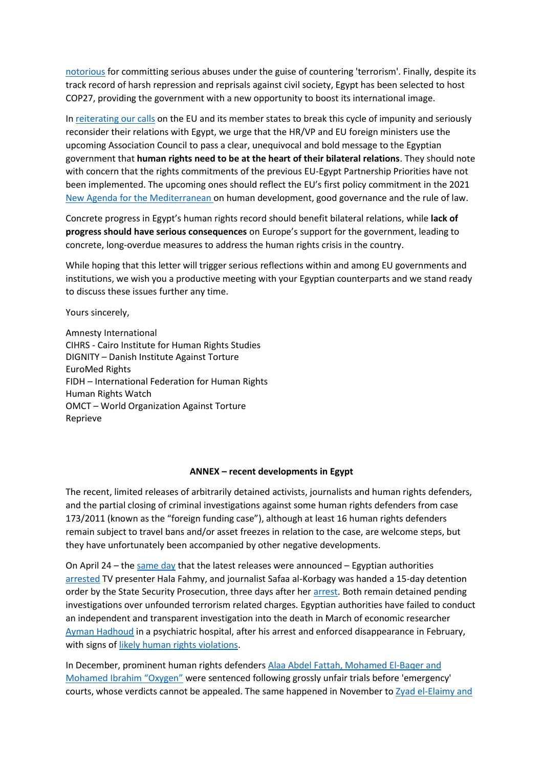[notorious](https://www.hrw.org/news/2022/01/25/eu-egypt-bid-lead-global-counterterrorism-body-affront-rights) for committing serious abuses under the guise of countering 'terrorism'. Finally, despite its track record of harsh repression and reprisals against civil society, Egypt has been selected to host COP27, providing the government with a new opportunity to boost its international image.

In [reiterating our calls](https://www.hrw.org/news/2021/01/21/open-letter-european-union-and-its-member-states-egypt) on the EU and its member states to break this cycle of impunity and seriously reconsider their relations with Egypt, we urge that the HR/VP and EU foreign ministers use the upcoming Association Council to pass a clear, unequivocal and bold message to the Egyptian government that **human rights need to be at the heart of their bilateral relations**. They should note with concern that the rights commitments of the previous EU-Egypt Partnership Priorities have not been implemented. The upcoming ones should reflect the EU's first policy commitment in the 2021 [New Agenda for the Mediterranean](https://www.consilium.europa.eu/en/press/press-releases/2021/04/19/a-new-agenda-for-the-mediterranean-the-council-approves-conclusions-on-a-renewed-partnership-with-the-southern-neighbourhood/) on human development, good governance and the rule of law.

Concrete progress in Egypt's human rights record should benefit bilateral relations, while **lack of progress should have serious consequences** on Europe's support for the government, leading to concrete, long-overdue measures to address the human rights crisis in the country.

While hoping that this letter will trigger serious reflections within and among EU governments and institutions, we wish you a productive meeting with your Egyptian counterparts and we stand ready to discuss these issues further any time.

Yours sincerely,

Amnesty International CIHRS - Cairo Institute for Human Rights Studies DIGNITY – Danish Institute Against Torture EuroMed Rights FIDH – International Federation for Human Rights Human Rights Watch OMCT – World Organization Against Torture Reprieve

## **ANNEX – recent developments in Egypt**

The recent, limited releases of arbitrarily detained activists, journalists and human rights defenders, and the partial closing of criminal investigations against some human rights defenders from case 173/2011 (known as the "foreign funding case"), although at least 16 human rights defenders remain subject to travel bans and/or asset freezes in relation to the case, are welcome steps, but they have unfortunately been accompanied by other negative developments.

On April 24 – the [same day](https://www.hrw.org/news/2022/05/04/concerns-remain-egypt-frees-activists-and-critics) that the latest releases were announced – Egyptian authorities [arrested](https://www.madamasr.com/en/2022/04/27/news/politics/two-journalists-who-participated-in-state-media-workers-protests-detained-for-15-days/) TV presenter Hala Fahmy, and journalist Safaa al-Korbagy was handed a 15-day detention order by the State Security Prosecution, three days after her [arrest.](https://www.madamasr.com/en/2022/04/27/news/politics/two-journalists-who-participated-in-state-media-workers-protests-detained-for-15-days/) Both remain detained pending investigations over unfounded terrorism related charges. Egyptian authorities have failed to conduct an independent and transparent investigation into the death in March of economic researcher [Ayman Hadhoud](https://www.hrw.org/news/2022/04/15/joint-statement-alarming-death-egyptian-economist-and-researcher-following-forced) in a psychiatric hospital, after his arrest and enforced disappearance in February, with signs o[f likely human rights violations.](https://www.amnesty.org/en/latest/news/2022/04/egypt-investigate-the-suspicious-death-in-custody-of-economist-ayman-hudhud-following-his-enforced-disappearance/)

In December, prominent human rights defenders [Alaa Abdel Fattah, Mohamed El-Baqer and](https://www.amnesty.org/en/wp-content/uploads/2022/01/MDE1251862022ENGLISH.pdf)  [Mohamed Ibrahim "Oxygen"](https://www.amnesty.org/en/wp-content/uploads/2022/01/MDE1251862022ENGLISH.pdf) were sentenced following grossly unfair trials before 'emergency' courts, whose verdicts cannot be appealed. The same happened in November to  $Zy$ ad el-Elaimy and